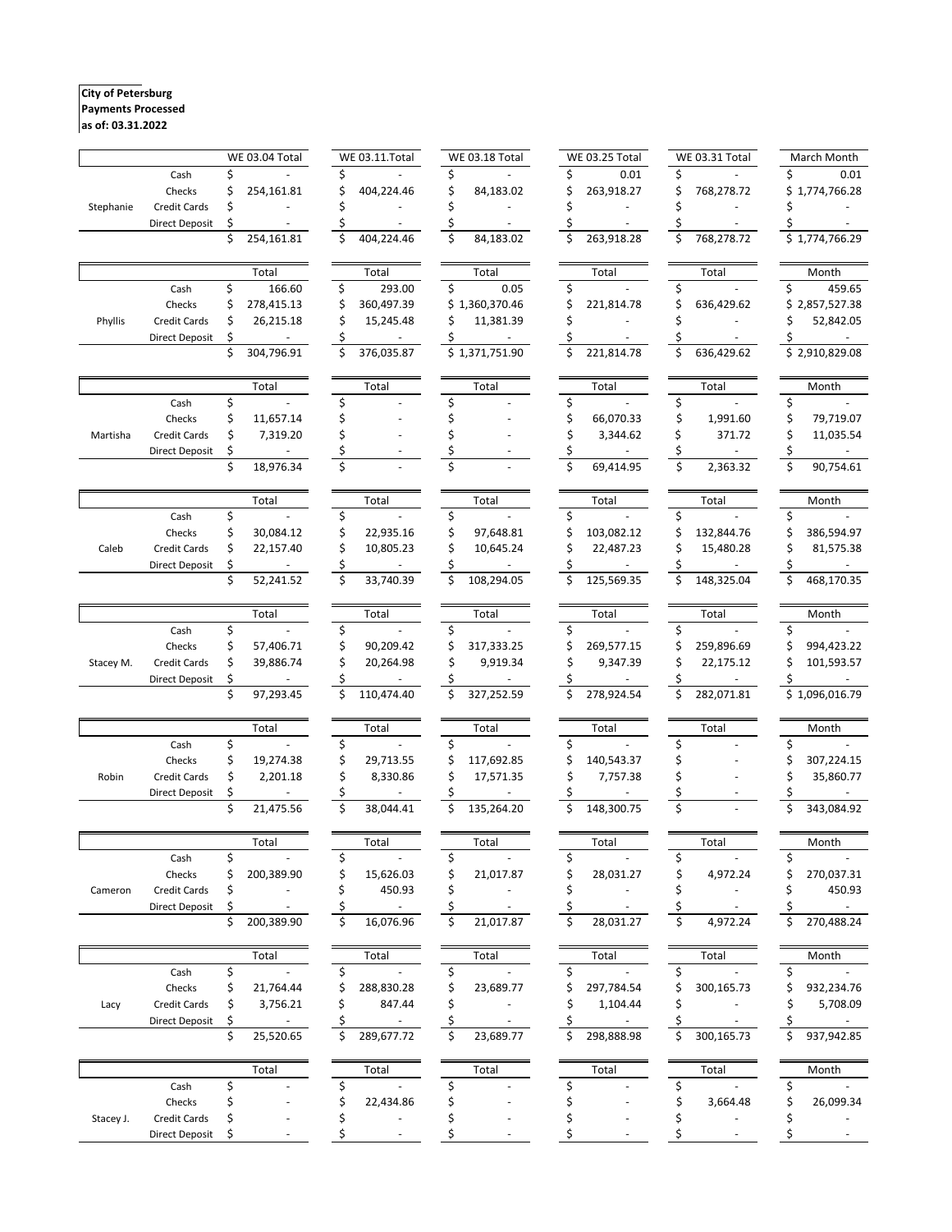## **City of Petersburg Payments Processed**

# **as of: 03.31.2022**

|           |                       |    | <b>WE 03.04 Total</b>    |    | WE 03.11.Total           |    | <b>WE 03.18 Total</b> |    | <b>WE 03.25 Total</b> |     | <b>WE 03.31 Total</b> |    | March Month    |
|-----------|-----------------------|----|--------------------------|----|--------------------------|----|-----------------------|----|-----------------------|-----|-----------------------|----|----------------|
|           | Cash                  |    |                          | \$ |                          |    |                       |    | 0.01                  | \$  |                       |    | 0.01           |
|           | Checks                | \$ | 254,161.81               |    | 404,224.46               |    | 84,183.02             |    | 263,918.27            | \$  | 768,278.72            | Ś. | 1,774,766.28   |
| Stephanie | Credit Cards          | \$ |                          |    |                          |    |                       |    |                       |     |                       |    |                |
|           | <b>Direct Deposit</b> | \$ |                          |    |                          |    |                       |    |                       |     |                       |    |                |
|           |                       | Ś  | 254,161.81               |    | 404,224.46               |    | 84,183.02             |    | 263,918.28            | \$  | 768,278.72            |    | \$1,774,766.29 |
|           |                       |    | Total                    |    | Total                    |    | Total                 |    | Total                 |     | Total                 |    | Month          |
|           | Cash                  | \$ | 166.60                   | \$ | 293.00                   | \$ | 0.05                  | \$ |                       | \$  |                       | \$ | 459.65         |
|           | Checks                | \$ | 278,415.13               | \$ | 360,497.39               |    | \$1,360,370.46        |    | 221,814.78            |     | 636,429.62            | \$ | 2,857,527.38   |
| Phyllis   | Credit Cards          | \$ | 26,215.18                | Ś  | 15,245.48                | Ś  | 11,381.39             |    |                       |     |                       |    | 52,842.05      |
|           | <b>Direct Deposit</b> | \$ |                          | Ś  |                          |    |                       |    |                       |     |                       |    |                |
|           |                       | \$ | 304,796.91               | \$ | 376,035.87               |    | \$1,371,751.90        | \$ | 221,814.78            | \$  | 636,429.62            |    | \$2,910,829.08 |
|           |                       |    |                          |    |                          |    |                       |    |                       |     |                       |    |                |
|           |                       |    | Total                    |    | Total                    |    | Total                 |    | Total                 |     | Total                 |    | Month          |
|           | Cash                  | \$ |                          | \$ |                          | \$ |                       | \$ |                       | \$  |                       | \$ |                |
|           | Checks                | \$ | 11,657.14                |    |                          |    |                       | \$ | 66,070.33             | \$  | 1,991.60              |    | 79,719.07      |
| Martisha  | Credit Cards          | \$ | 7,319.20                 |    |                          |    |                       |    | 3,344.62              | \$  | 371.72                |    | 11,035.54      |
|           | <b>Direct Deposit</b> | \$ |                          | \$ |                          |    |                       |    |                       | \$  |                       | \$ |                |
|           |                       | \$ | 18,976.34                | \$ |                          | Ś  |                       | Ś  | 69,414.95             | \$  | 2,363.32              | Ś  | 90,754.61      |
|           |                       |    | Total                    |    | Total                    |    | Total                 |    | Total                 |     | Total                 |    | Month          |
|           | Cash                  | \$ |                          | \$ |                          | \$ |                       | \$ |                       | \$  |                       | \$ |                |
|           | Checks                | \$ | 30,084.12                | \$ | 22,935.16                |    | 97,648.81             | \$ | 103,082.12            |     | 132,844.76            |    | 386,594.97     |
| Caleb     | Credit Cards          | \$ | 22,157.40                | \$ | 10,805.23                |    | 10,645.24             | \$ | 22,487.23             | \$  | 15,480.28             |    | 81,575.38      |
|           | <b>Direct Deposit</b> | \$ |                          | \$ |                          |    |                       | Ś  |                       |     |                       |    |                |
|           |                       | \$ | 52,241.52                | \$ | 33,740.39                |    | 108,294.05            |    | 125,569.35            | \$  | 148,325.04            |    | 468,170.35     |
|           |                       |    | Total                    |    | Total                    |    | Total                 |    | Total                 |     | Total                 |    | Month          |
|           | Cash                  | \$ |                          | Ś  |                          | Ś  |                       |    |                       | \$. |                       |    |                |
|           | Checks                | \$ | 57,406.71                | Ś  | 90,209.42                |    | 317,333.25            |    | 269,577.15            |     | 259,896.69            |    | 994,423.22     |
| Stacey M. | Credit Cards          | \$ | 39,886.74                | Ś  | 20,264.98                |    | 9,919.34              |    | 9,347.39              | Ś   | 22,175.12             |    | 101,593.57     |
|           | <b>Direct Deposit</b> | \$ |                          |    |                          |    |                       |    |                       |     |                       |    |                |
|           |                       | \$ | 97,293.45                | Ś  | 110,474.40               |    | 327,252.59            |    | 278,924.54            | Ś   | 282,071.81            |    | 1,096,016.79   |
|           |                       |    |                          |    |                          |    |                       |    |                       |     |                       |    |                |
|           |                       |    | Total                    |    | Total                    |    | Total                 |    | Total                 |     | Total                 |    | Month          |
|           | Cash                  | \$ |                          |    |                          |    |                       |    |                       |     |                       |    |                |
|           | Checks                | \$ | 19,274.38                | \$ | 29,713.55                |    | 117,692.85            |    | 140,543.37            | \$  |                       |    | 307,224.15     |
| Robin     | Credit Cards          | \$ | 2,201.18                 | Ś  | 8,330.86                 |    | 17,571.35             | \$ | 7,757.38              | Ś   |                       |    | 35,860.77      |
|           | <b>Direct Deposit</b> | \$ |                          |    |                          |    |                       |    |                       |     |                       |    |                |
|           |                       | Ś  | 21,475.56                | Ś  | 38,044.41                |    | 135,264.20            |    | 148,300.75            |     |                       |    | 343,084.92     |
|           |                       |    | Total                    |    | Total                    |    | Total                 |    | Total                 |     | Total                 |    | Month          |
|           | Cash                  | \$ |                          | \$ |                          | \$ |                       | \$ |                       | \$  |                       | \$ |                |
|           | Checks                | \$ | 200,389.90               |    | 15,626.03                |    | 21,017.87             |    | 28,031.27             | \$  | 4,972.24              |    | 270,037.31     |
| Cameron   | Credit Cards          | \$ |                          | \$ | 450.93                   |    |                       | \$ |                       | Ś   |                       |    | 450.93         |
|           | <b>Direct Deposit</b> | \$ |                          |    |                          |    |                       |    |                       |     |                       |    |                |
|           |                       | \$ | 200,389.90               | \$ | 16,076.96                | \$ | 21,017.87             | \$ | 28,031.27             | \$  | 4,972.24              | \$ | 270,488.24     |
|           |                       |    | Total                    |    | Total                    |    | Total                 |    | Total                 |     | Total                 |    | Month          |
|           | Cash                  | \$ |                          | \$ |                          | \$ |                       | \$ |                       | \$  |                       | \$ |                |
|           | Checks                | \$ | 21,764.44                | \$ | 288,830.28               |    | 23,689.77             |    | 297,784.54            | \$  | 300,165.73            |    | 932,234.76     |
| Lacy      | Credit Cards          | \$ | 3,756.21                 | \$ | 847.44                   |    |                       |    | 1,104.44              | \$  |                       |    | 5,708.09       |
|           | <b>Direct Deposit</b> | \$ | $\overline{\phantom{a}}$ | \$ | $\overline{\phantom{a}}$ | Ś  |                       |    |                       | Ś   |                       |    | $\sim$         |
|           |                       | \$ | 25,520.65                | \$ | 289,677.72               | Ś  | 23,689.77             | Ś  | 298,888.98            | Ś   | 300,165.73            | Ś  | 937,942.85     |
|           |                       |    |                          |    |                          |    |                       |    |                       |     |                       |    |                |
|           |                       |    | Total                    |    | Total                    |    | Total                 |    | Total                 |     | Total                 |    | Month          |
|           | Cash                  | \$ |                          | \$ |                          | \$ |                       | \$ |                       | \$  |                       | \$ |                |
|           | Checks                | \$ |                          | \$ | 22,434.86                |    |                       | \$ |                       | \$  | 3,664.48              |    | 26,099.34      |
| Stacey J. | Credit Cards          | \$ |                          | \$ |                          |    |                       |    |                       | \$  |                       |    |                |
|           | <b>Direct Deposit</b> |    |                          |    |                          |    |                       |    |                       |     |                       | Ś  |                |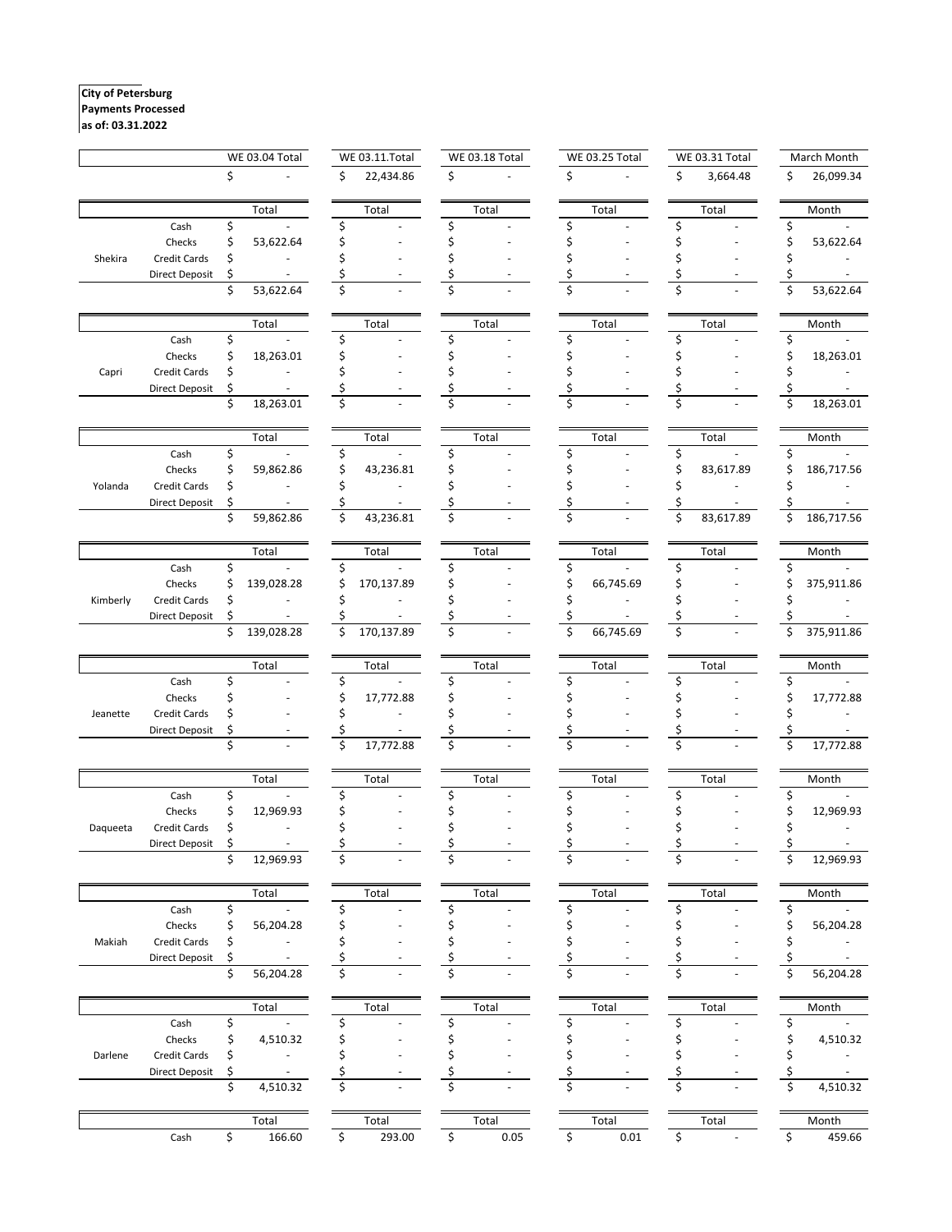#### **City of Petersburg Payments Processed**

### **as of: 03.31.2022**

|          |                       | <b>WE 03.04 Total</b> |            | WE 03.11.Total |            |    | <b>WE 03.18 Total</b> |    | <b>WE 03.25 Total</b> |    | <b>WE 03.31 Total</b> |    | March Month |  |
|----------|-----------------------|-----------------------|------------|----------------|------------|----|-----------------------|----|-----------------------|----|-----------------------|----|-------------|--|
|          |                       | \$                    |            | Ś.             | 22,434.86  | \$ |                       | \$ |                       | \$ | 3,664.48              | \$ | 26,099.34   |  |
|          |                       |                       | Total      |                | Total      |    | Total                 |    | Total                 |    | Total                 |    | Month       |  |
|          | Cash                  | \$                    |            | Ś              |            | Ś  |                       |    |                       | ς  |                       | Ś  |             |  |
|          | Checks                | Ś                     | 53,622.64  |                |            |    |                       |    |                       |    |                       |    | 53,622.64   |  |
| Shekira  | Credit Cards          | \$                    |            |                |            |    |                       |    |                       |    |                       |    |             |  |
|          | <b>Direct Deposit</b> | \$                    |            |                |            |    |                       |    |                       |    |                       |    |             |  |
|          |                       | \$                    | 53,622.64  | \$             |            |    |                       | \$ |                       | Ś  |                       | Ś  | 53,622.64   |  |
|          |                       |                       | Total      |                | Total      |    | Total                 |    | Total                 |    | Total                 |    | Month       |  |
|          | Cash                  | \$                    |            | \$             |            | Ś  |                       | Ś  |                       |    |                       | \$ |             |  |
|          | Checks                | \$                    | 18,263.01  |                |            |    |                       |    |                       |    |                       |    | 18,263.01   |  |
| Capri    | Credit Cards          | \$                    |            |                |            |    |                       |    |                       |    |                       |    |             |  |
|          | Direct Deposit        | \$                    |            |                |            |    |                       |    |                       |    |                       |    |             |  |
|          |                       | \$                    | 18,263.01  | \$             |            |    |                       |    |                       |    |                       |    | 18,263.01   |  |
|          |                       |                       | Total      |                | Total      |    | Total                 |    | Total                 |    | Total                 |    | Month       |  |
|          | Cash                  | \$                    |            | \$             |            |    |                       |    |                       |    |                       |    |             |  |
|          | Checks                | \$                    | 59,862.86  |                | 43,236.81  |    |                       |    |                       |    | 83,617.89             |    | 186,717.56  |  |
| Yolanda  | <b>Credit Cards</b>   | \$                    |            |                |            |    |                       |    |                       |    |                       |    |             |  |
|          | Direct Deposit        | \$<br>\$              | 59,862.86  | \$             | 43,236.81  |    |                       |    |                       | \$ | 83,617.89             | \$ | 186,717.56  |  |
|          |                       |                       |            |                |            |    |                       |    |                       |    |                       |    |             |  |
|          |                       |                       | Total      |                | Total      |    | Total                 |    | Total                 |    | Total                 |    | Month       |  |
|          | Cash                  | \$                    |            | Ş              |            |    |                       |    |                       | S  |                       | S  |             |  |
|          | Checks                | \$                    | 139,028.28 | \$             | 170,137.89 |    |                       |    | 66,745.69             |    |                       |    | 375,911.86  |  |
| Kimberly | Credit Cards          | \$                    |            | Ś              |            |    |                       |    |                       |    |                       |    |             |  |
|          | <b>Direct Deposit</b> | \$<br>\$              | 139,028.28 | \$             | 170,137.89 | \$ |                       | \$ | 66,745.69             | \$ |                       |    | 375,911.86  |  |
|          |                       |                       |            |                |            |    |                       |    |                       |    |                       |    |             |  |
|          | Cash                  | \$                    | Total      | \$             | Total      | S  | Total                 | \$ | Total                 |    | Total                 | \$ | Month       |  |
|          | Checks                | Ś                     |            | \$             | 17,772.88  |    |                       |    |                       |    |                       |    | 17,772.88   |  |
| Jeanette | Credit Cards          |                       |            |                |            |    |                       |    |                       |    |                       |    |             |  |
|          | <b>Direct Deposit</b> |                       |            |                |            |    |                       |    |                       |    |                       |    |             |  |
|          |                       | \$                    |            | \$             | 17,772.88  | Ś  |                       |    |                       |    |                       | \$ | 17,772.88   |  |
|          |                       |                       | Total      |                | Total      |    | Total                 |    | Total                 |    | Total                 |    | Month       |  |
|          | Cash                  | \$                    |            |                |            | Ś  |                       |    |                       |    |                       | Ś  |             |  |
|          | Checks                | Ś                     | 12,969.93  |                |            |    |                       |    |                       |    |                       |    | 12,969.93   |  |
| Daqueeta | Credit Cards          | \$                    |            |                |            |    |                       |    |                       |    |                       |    |             |  |
|          | Direct Deposit        |                       |            |                |            |    |                       |    |                       |    |                       |    |             |  |
|          |                       | \$                    | 12,969.93  | \$             |            | Ś  |                       | Ś  |                       | Ś  |                       | \$ | 12,969.93   |  |
|          |                       |                       | Total      |                | Total      |    | Total                 |    | Total                 |    | Total                 |    | Month       |  |
|          | Cash                  | \$                    |            | Ś              |            | Ś  |                       | Ś  |                       | Ś  |                       | \$ |             |  |
|          | Checks                | \$                    | 56,204.28  |                |            |    |                       |    |                       |    |                       | \$ | 56,204.28   |  |
| Makiah   | Credit Cards          | \$                    |            |                |            |    |                       |    |                       |    |                       |    |             |  |
|          | Direct Deposit        | \$                    |            |                |            |    |                       |    |                       |    |                       |    |             |  |
|          |                       | \$                    | 56,204.28  | \$             |            |    |                       |    |                       |    |                       |    | 56,204.28   |  |
|          |                       |                       | Total      |                | Total      |    | Total                 |    | Total                 |    | Total                 |    | Month       |  |
|          | Cash                  | \$                    |            |                |            | S  |                       |    |                       |    |                       | \$ |             |  |
|          | Checks                | \$                    | 4,510.32   | Ś              |            |    |                       |    |                       |    |                       |    | 4,510.32    |  |
| Darlene  | Credit Cards          | \$                    |            | Ś              |            |    |                       |    |                       |    |                       |    |             |  |
|          | <b>Direct Deposit</b> | \$                    |            |                |            |    |                       |    |                       |    |                       |    |             |  |
|          |                       | \$                    | 4,510.32   | Ś              |            |    |                       | Ś  |                       |    |                       |    | 4,510.32    |  |
|          |                       |                       | Total      |                | Total      |    | Total                 |    | Total                 |    | Total                 |    | Month       |  |
|          | Cash                  | \$                    | 166.60     | \$             | 293.00     | \$ | 0.05                  | \$ | 0.01                  | \$ |                       | \$ | 459.66      |  |